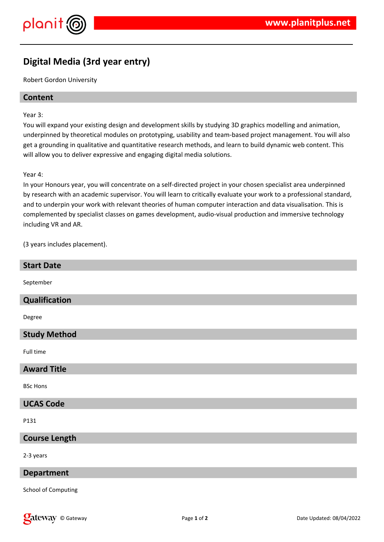

# **Digital Media (3rd year entry)**

Robert Gordon University

# **Content**

Year 3:

You will expand your existing design and development skills by studying 3D graphics modelling and animation, underpinned by theoretical modules on prototyping, usability and team-based project management. You will also get a grounding in qualitative and quantitative research methods, and learn to build dynamic web content. This will allow you to deliver expressive and engaging digital media solutions.

#### Year 4:

In your Honours year, you will concentrate on a self-directed project in your chosen specialist area underpinned by research with an academic supervisor. You will learn to critically evaluate your work to a professional standard, and to underpin your work with relevant theories of human computer interaction and data visualisation. This is complemented by specialist classes on games development, audio-visual production and immersive technology including VR and AR.

(3 years includes placement).

#### **Start Date**

September

#### **Qualification**

Degree

# **Study Method**

Full time

#### **Award Title**

BSc Hons

#### **UCAS Code**

P131

#### **Course Length**

2-3 years

#### **Department**

School of Computing